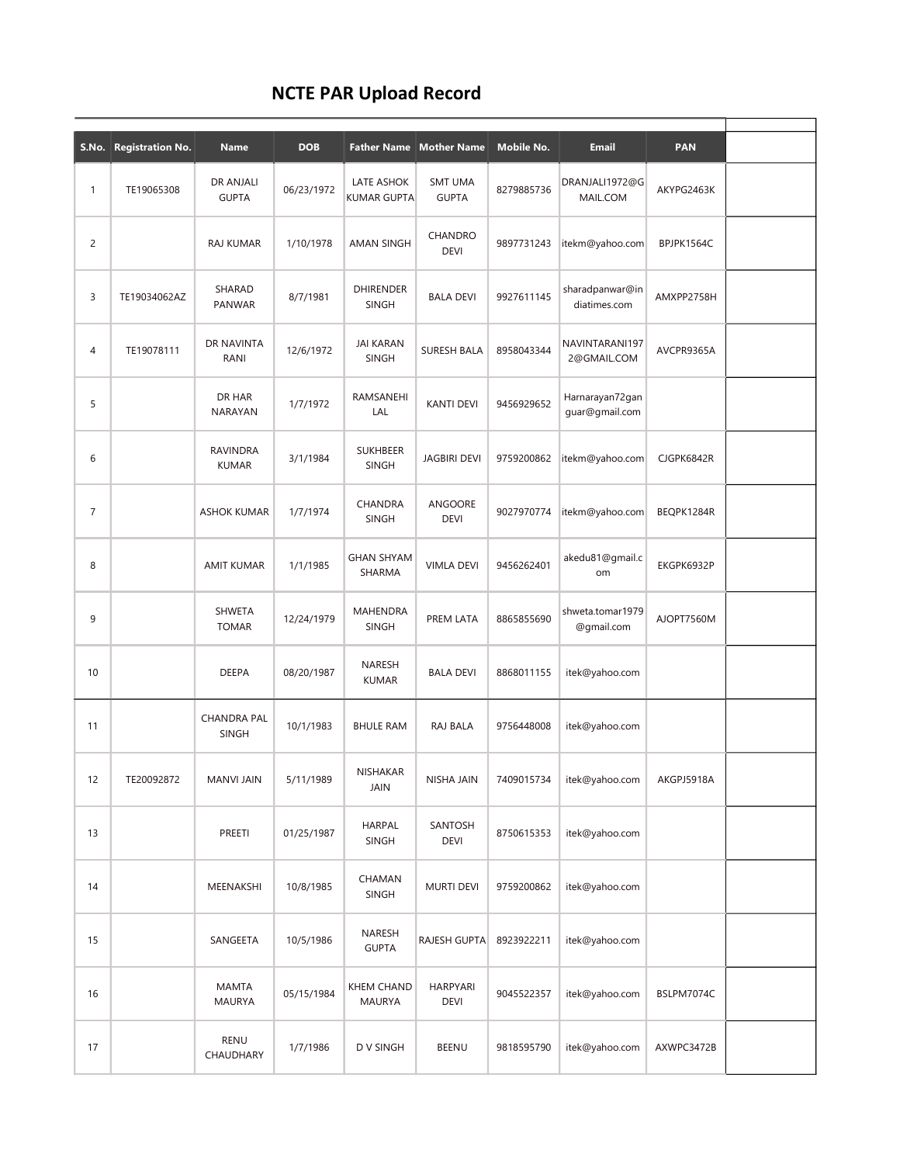## NCTE PAR Upload Record

|                | S.No. Registration No. | Name                               | <b>DOB</b> | <b>Father Name</b>                 | <b>Mother Name</b>             | Mobile No. | <b>Email</b>                      | <b>PAN</b> |  |
|----------------|------------------------|------------------------------------|------------|------------------------------------|--------------------------------|------------|-----------------------------------|------------|--|
| 1              | TE19065308             | DR ANJALI<br><b>GUPTA</b>          | 06/23/1972 | LATE ASHOK<br>KUMAR GUPTA          | <b>SMT UMA</b><br><b>GUPTA</b> | 8279885736 | DRANJALI1972@G<br>MAIL.COM        | AKYPG2463K |  |
| $\overline{2}$ |                        | <b>RAJ KUMAR</b>                   | 1/10/1978  | AMAN SINGH                         | CHANDRO<br><b>DEVI</b>         | 9897731243 | itekm@yahoo.com                   | BPJPK1564C |  |
| 3              | TE19034062AZ           | SHARAD<br>PANWAR                   | 8/7/1981   | <b>DHIRENDER</b><br><b>SINGH</b>   | <b>BALA DEVI</b>               | 9927611145 | sharadpanwar@in<br>diatimes.com   | AMXPP2758H |  |
| 4              | TE19078111             | DR NAVINTA<br>RANI                 | 12/6/1972  | <b>JAI KARAN</b><br><b>SINGH</b>   | <b>SURESH BALA</b>             | 8958043344 | NAVINTARANI197<br>2@GMAIL.COM     | AVCPR9365A |  |
| 5              |                        | DR HAR<br>NARAYAN                  | 1/7/1972   | RAMSANEHI<br>LAL                   | <b>KANTI DEVI</b>              | 9456929652 | Harnarayan72gan<br>quar@qmail.com |            |  |
| 6              |                        | <b>RAVINDRA</b><br><b>KUMAR</b>    | 3/1/1984   | <b>SUKHBEER</b><br><b>SINGH</b>    | <b>JAGBIRI DEVI</b>            | 9759200862 | itekm@yahoo.com                   | CJGPK6842R |  |
| $\overline{7}$ |                        | <b>ASHOK KUMAR</b>                 | 1/7/1974   | CHANDRA<br><b>SINGH</b>            | <b>ANGOORE</b><br><b>DEVI</b>  | 9027970774 | itekm@yahoo.com                   | BEQPK1284R |  |
| 8              |                        | <b>AMIT KUMAR</b>                  | 1/1/1985   | <b>GHAN SHYAM</b><br>SHARMA        | <b>VIMLA DEVI</b>              | 9456262401 | akedu81@gmail.c<br>om             | EKGPK6932P |  |
| 9              |                        | <b>SHWETA</b><br><b>TOMAR</b>      | 12/24/1979 | MAHENDRA<br><b>SINGH</b>           | PREM LATA                      | 8865855690 | shweta.tomar1979<br>@gmail.com    | AJOPT7560M |  |
| 10             |                        | <b>DEEPA</b>                       | 08/20/1987 | NARESH<br><b>KUMAR</b>             | <b>BALA DEVI</b>               | 8868011155 | itek@yahoo.com                    |            |  |
| 11             |                        | <b>CHANDRA PAL</b><br><b>SINGH</b> | 10/1/1983  | <b>BHULE RAM</b>                   | RAJ BALA                       | 9756448008 | itek@yahoo.com                    |            |  |
| 12             | TE20092872             | MANVI JAIN                         | 5/11/1989  | <b>NISHAKAR</b><br>JAIN            | NISHA JAIN                     | 7409015734 | itek@yahoo.com                    | AKGPJ5918A |  |
| 13             |                        | PREETI                             | 01/25/1987 | <b>HARPAL</b><br>SINGH             | SANTOSH<br>DEVI                | 8750615353 | itek@yahoo.com                    |            |  |
| 14             |                        | MEENAKSHI                          | 10/8/1985  | CHAMAN<br>SINGH                    | <b>MURTI DEVI</b>              | 9759200862 | itek@yahoo.com                    |            |  |
| 15             |                        | SANGEETA                           | 10/5/1986  | NARESH<br><b>GUPTA</b>             | RAJESH GUPTA                   | 8923922211 | itek@yahoo.com                    |            |  |
| 16             |                        | <b>MAMTA</b><br><b>MAURYA</b>      | 05/15/1984 | <b>KHEM CHAND</b><br><b>MAURYA</b> | <b>HARPYARI</b><br><b>DEVI</b> | 9045522357 | itek@yahoo.com                    | BSLPM7074C |  |
| 17             |                        | <b>RENU</b><br>CHAUDHARY           | 1/7/1986   | D V SINGH                          | BEENU                          | 9818595790 | itek@yahoo.com                    | AXWPC3472B |  |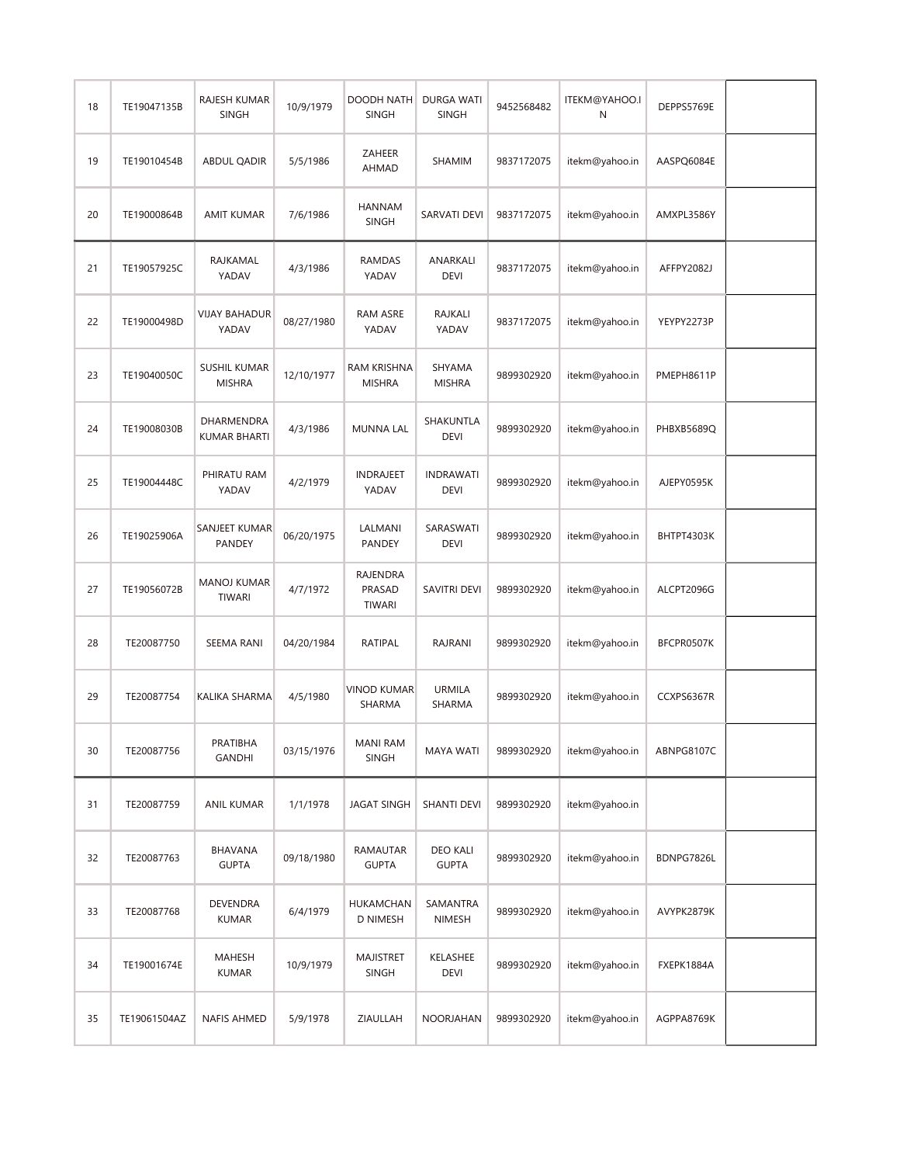| 18 | TE19047135B  | RAJESH KUMAR<br><b>SINGH</b>         | 10/9/1979  | DOODH NATH<br><b>SINGH</b>       | DURGA WATI<br><b>SINGH</b>      | 9452568482 | ITEKM@YAHOO.I<br>Ν | DEPPS5769E |  |
|----|--------------|--------------------------------------|------------|----------------------------------|---------------------------------|------------|--------------------|------------|--|
| 19 | TE19010454B  | <b>ABDUL QADIR</b>                   | 5/5/1986   | ZAHEER<br><b>AHMAD</b>           | SHAMIM                          | 9837172075 | itekm@yahoo.in     | AASPQ6084E |  |
| 20 | TE19000864B  | AMIT KUMAR                           | 7/6/1986   | <b>HANNAM</b><br><b>SINGH</b>    | SARVATI DEVI                    | 9837172075 | itekm@yahoo.in     | AMXPL3586Y |  |
| 21 | TE19057925C  | RAJKAMAL<br>YADAV                    | 4/3/1986   | RAMDAS<br>YADAV                  | ANARKALI<br>DEVI                | 9837172075 | itekm@yahoo.in     | AFFPY2082J |  |
| 22 | TE19000498D  | <b>VIJAY BAHADUR</b><br>YADAV        | 08/27/1980 | RAM ASRE<br>YADAV                | <b>RAJKALI</b><br>YADAV         | 9837172075 | itekm@yahoo.in     | YEYPY2273P |  |
| 23 | TE19040050C  | <b>SUSHIL KUMAR</b><br><b>MISHRA</b> | 12/10/1977 | RAM KRISHNA<br><b>MISHRA</b>     | SHYAMA<br><b>MISHRA</b>         | 9899302920 | itekm@yahoo.in     | PMEPH8611P |  |
| 24 | TE19008030B  | DHARMENDRA<br>KUMAR BHARTI           | 4/3/1986   | <b>MUNNA LAL</b>                 | SHAKUNTLA<br><b>DEVI</b>        | 9899302920 | itekm@yahoo.in     | PHBXB5689Q |  |
| 25 | TE19004448C  | PHIRATU RAM<br>YADAV                 | 4/2/1979   | <b>INDRAJEET</b><br>YADAV        | <b>INDRAWATI</b><br><b>DEVI</b> | 9899302920 | itekm@yahoo.in     | AJEPY0595K |  |
| 26 | TE19025906A  | SANJEET KUMAR<br>PANDEY              | 06/20/1975 | LALMANI<br>PANDEY                | SARASWATI<br><b>DEVI</b>        | 9899302920 | itekm@yahoo.in     | BHTPT4303K |  |
| 27 | TE19056072B  | <b>MANOJ KUMAR</b><br>TIWARI         | 4/7/1972   | RAJENDRA<br>PRASAD<br>TIWARI     | SAVITRI DEVI                    | 9899302920 | itekm@yahoo.in     | ALCPT2096G |  |
| 28 | TE20087750   | SEEMA RANI                           | 04/20/1984 | RATIPAL                          | RAJRANI                         | 9899302920 | itekm@yahoo.in     | BFCPR0507K |  |
| 29 | TE20087754   | KALIKA SHARMA                        | 4/5/1980   | <b>VINOD KUMAR</b><br>SHARMA     | <b>URMILA</b><br>SHARMA         | 9899302920 | itekm@yahoo.in     | CCXPS6367R |  |
| 30 | TE20087756   | PRATIBHA<br><b>GANDHI</b>            | 03/15/1976 | <b>MANI RAM</b><br><b>SINGH</b>  | <b>MAYA WATI</b>                | 9899302920 | itekm@yahoo.in     | ABNPG8107C |  |
| 31 | TE20087759   | ANIL KUMAR                           | 1/1/1978   | <b>JAGAT SINGH</b>               | <b>SHANTI DEVI</b>              | 9899302920 | itekm@yahoo.in     |            |  |
| 32 | TE20087763   | BHAVANA<br><b>GUPTA</b>              | 09/18/1980 | RAMAUTAR<br><b>GUPTA</b>         | <b>DEO KALI</b><br><b>GUPTA</b> | 9899302920 | itekm@yahoo.in     | BDNPG7826L |  |
| 33 | TE20087768   | DEVENDRA<br><b>KUMAR</b>             | 6/4/1979   | HUKAMCHAN<br>D NIMESH            | SAMANTRA<br><b>NIMESH</b>       | 9899302920 | itekm@yahoo.in     | AVYPK2879K |  |
| 34 | TE19001674E  | <b>MAHESH</b><br><b>KUMAR</b>        | 10/9/1979  | <b>MAJISTRET</b><br><b>SINGH</b> | KELASHEE<br>DEVI                | 9899302920 | itekm@yahoo.in     | FXEPK1884A |  |
| 35 | TE19061504AZ | <b>NAFIS AHMED</b>                   | 5/9/1978   | ZIAULLAH                         | NOORJAHAN                       | 9899302920 | itekm@yahoo.in     | AGPPA8769K |  |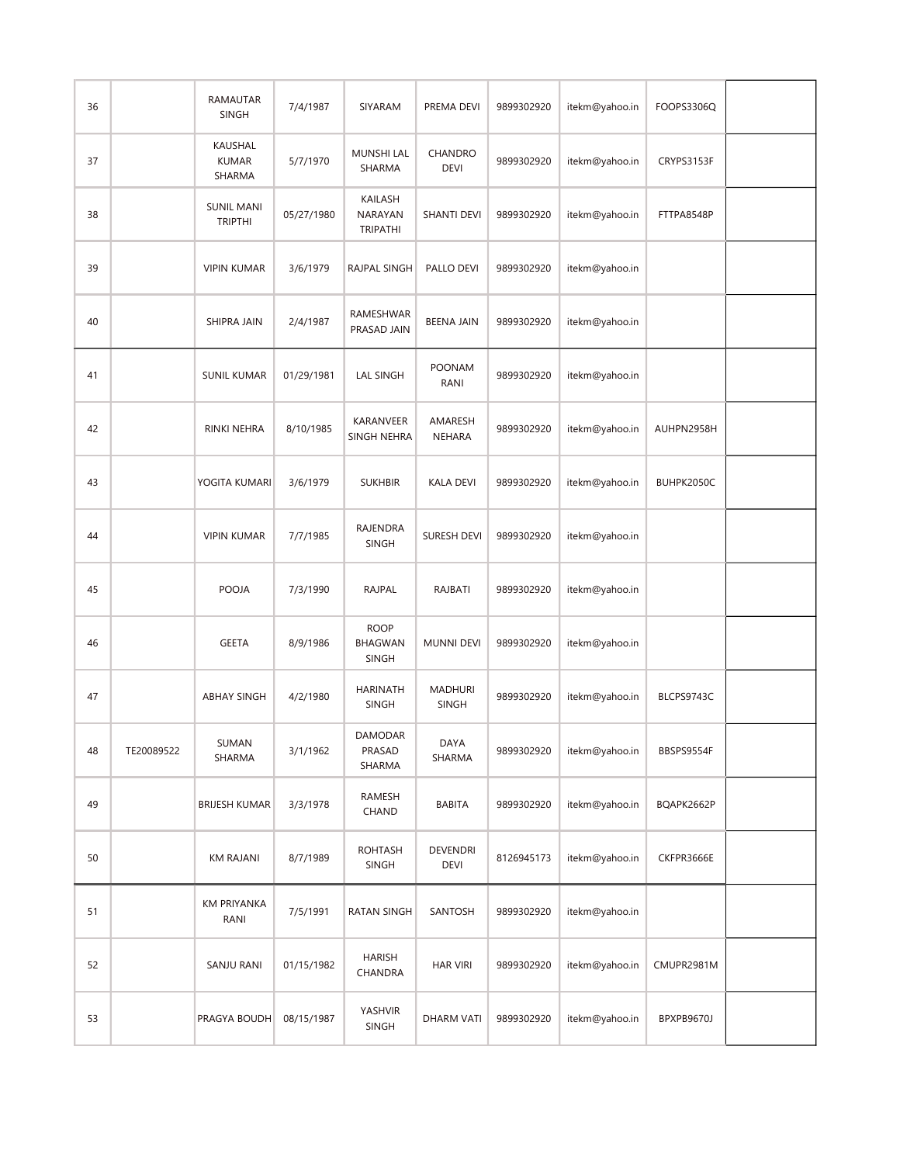| 36 |            | RAMAUTAR<br><b>SINGH</b>            | 7/4/1987   | SIYARAM                                | PREMA DEVI                     | 9899302920 | itekm@yahoo.in | FOOPS3306Q |  |
|----|------------|-------------------------------------|------------|----------------------------------------|--------------------------------|------------|----------------|------------|--|
| 37 |            | KAUSHAL<br><b>KUMAR</b><br>SHARMA   | 5/7/1970   | <b>MUNSHI LAL</b><br>SHARMA            | CHANDRO<br><b>DEVI</b>         | 9899302920 | itekm@yahoo.in | CRYPS3153F |  |
| 38 |            | <b>SUNIL MANI</b><br><b>TRIPTHI</b> | 05/27/1980 | KAILASH<br>NARAYAN<br><b>TRIPATHI</b>  | <b>SHANTI DEVI</b>             | 9899302920 | itekm@yahoo.in | FTTPA8548P |  |
| 39 |            | <b>VIPIN KUMAR</b>                  | 3/6/1979   | RAJPAL SINGH                           | PALLO DEVI                     | 9899302920 | itekm@yahoo.in |            |  |
| 40 |            | SHIPRA JAIN                         | 2/4/1987   | RAMESHWAR<br>PRASAD JAIN               | <b>BEENA JAIN</b>              | 9899302920 | itekm@yahoo.in |            |  |
| 41 |            | <b>SUNIL KUMAR</b>                  | 01/29/1981 | <b>LAL SINGH</b>                       | <b>POONAM</b><br>RANI          | 9899302920 | itekm@yahoo.in |            |  |
| 42 |            | RINKI NEHRA                         | 8/10/1985  | KARANVEER<br>SINGH NEHRA               | AMARESH<br>NEHARA              | 9899302920 | itekm@yahoo.in | AUHPN2958H |  |
| 43 |            | YOGITA KUMARI                       | 3/6/1979   | <b>SUKHBIR</b>                         | <b>KALA DEVI</b>               | 9899302920 | itekm@yahoo.in | BUHPK2050C |  |
| 44 |            | <b>VIPIN KUMAR</b>                  | 7/7/1985   | RAJENDRA<br><b>SINGH</b>               | <b>SURESH DEVI</b>             | 9899302920 | itekm@yahoo.in |            |  |
| 45 |            | POOJA                               | 7/3/1990   | <b>RAJPAL</b>                          | RAJBATI                        | 9899302920 | itekm@yahoo.in |            |  |
| 46 |            | <b>GEETA</b>                        | 8/9/1986   | <b>ROOP</b><br>BHAGWAN<br><b>SINGH</b> | <b>MUNNI DEVI</b>              | 9899302920 | itekm@yahoo.in |            |  |
| 47 |            | <b>ABHAY SINGH</b>                  | 4/2/1980   | <b>HARINATH</b><br><b>SINGH</b>        | <b>MADHURI</b><br><b>SINGH</b> | 9899302920 | itekm@yahoo.in | BLCPS9743C |  |
| 48 | TE20089522 | SUMAN<br>SHARMA                     | 3/1/1962   | DAMODAR<br>PRASAD<br>SHARMA            | DAYA<br>SHARMA                 | 9899302920 | itekm@yahoo.in | BBSPS9554F |  |
| 49 |            | <b>BRIJESH KUMAR</b>                | 3/3/1978   | RAMESH<br>CHAND                        | <b>BABITA</b>                  | 9899302920 | itekm@yahoo.in | BQAPK2662P |  |
| 50 |            | <b>KM RAJANI</b>                    | 8/7/1989   | <b>ROHTASH</b><br><b>SINGH</b>         | DEVENDRI<br><b>DEVI</b>        | 8126945173 | itekm@yahoo.in | CKFPR3666E |  |
| 51 |            | <b>KM PRIYANKA</b><br>RANI          | 7/5/1991   | RATAN SINGH                            | SANTOSH                        | 9899302920 | itekm@yahoo.in |            |  |
| 52 |            | SANJU RANI                          | 01/15/1982 | <b>HARISH</b><br>CHANDRA               | <b>HAR VIRI</b>                | 9899302920 | itekm@yahoo.in | CMUPR2981M |  |
| 53 |            | PRAGYA BOUDH                        | 08/15/1987 | YASHVIR<br><b>SINGH</b>                | <b>DHARM VATI</b>              | 9899302920 | itekm@yahoo.in | BPXPB9670J |  |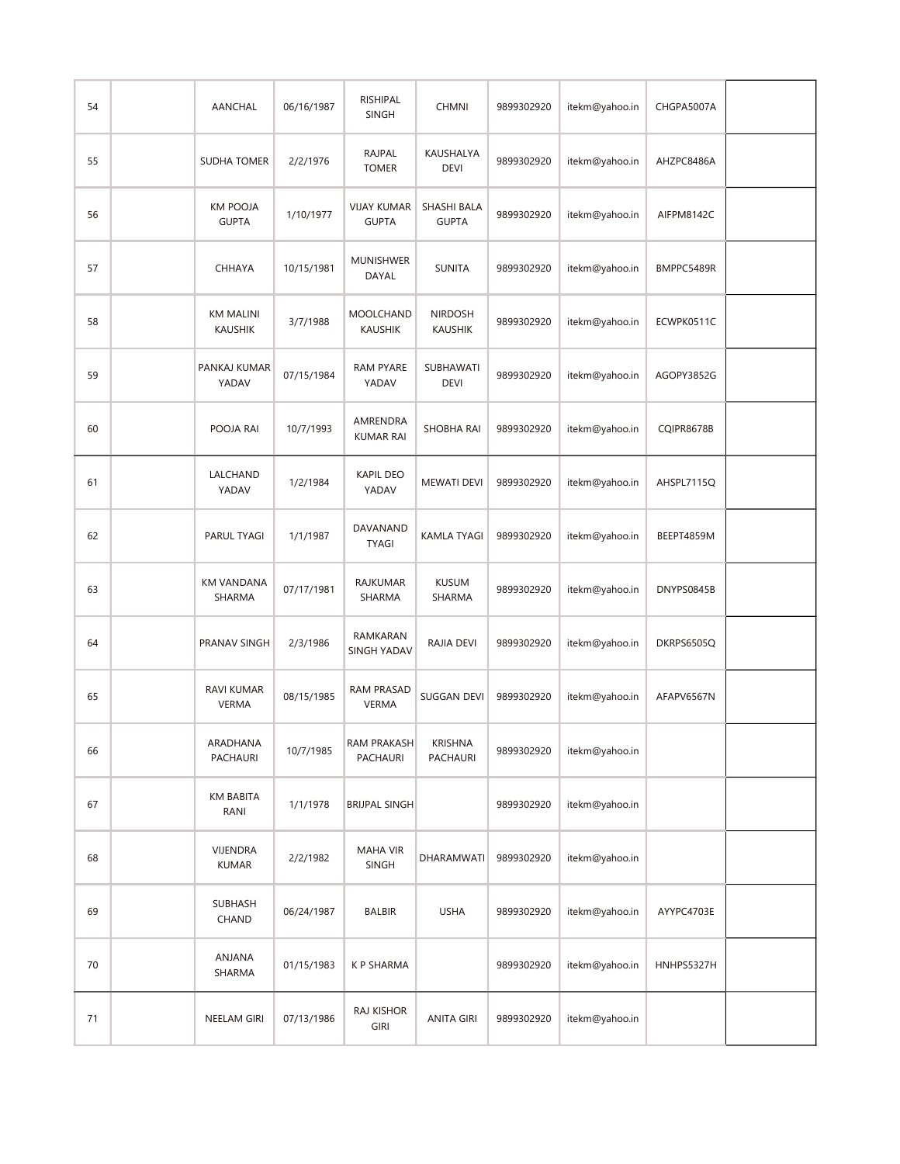| 54 | AANCHAL                            | 06/16/1987 | RISHIPAL<br><b>SINGH</b>           | <b>CHMNI</b>                     | 9899302920 | itekm@yahoo.in | CHGPA5007A |  |
|----|------------------------------------|------------|------------------------------------|----------------------------------|------------|----------------|------------|--|
| 55 | <b>SUDHA TOMER</b>                 | 2/2/1976   | RAJPAL<br><b>TOMER</b>             | KAUSHALYA<br><b>DEVI</b>         | 9899302920 | itekm@yahoo.in | AHZPC8486A |  |
| 56 | KM POOJA<br><b>GUPTA</b>           | 1/10/1977  | <b>VIJAY KUMAR</b><br><b>GUPTA</b> | SHASHI BALA<br><b>GUPTA</b>      | 9899302920 | itekm@yahoo.in | AIFPM8142C |  |
| 57 | <b>CHHAYA</b>                      | 10/15/1981 | MUNISHWER<br>DAYAL                 | <b>SUNITA</b>                    | 9899302920 | itekm@yahoo.in | BMPPC5489R |  |
| 58 | <b>KM MALINI</b><br><b>KAUSHIK</b> | 3/7/1988   | MOOLCHAND<br><b>KAUSHIK</b>        | <b>NIRDOSH</b><br><b>KAUSHIK</b> | 9899302920 | itekm@yahoo.in | ECWPK0511C |  |
| 59 | PANKAJ KUMAR<br>YADAV              | 07/15/1984 | <b>RAM PYARE</b><br>YADAV          | SUBHAWATI<br><b>DEVI</b>         | 9899302920 | itekm@yahoo.in | AGOPY3852G |  |
| 60 | POOJA RAI                          | 10/7/1993  | AMRENDRA<br><b>KUMAR RAI</b>       | SHOBHA RAI                       | 9899302920 | itekm@yahoo.in | CQIPR8678B |  |
| 61 | LALCHAND<br>YADAV                  | 1/2/1984   | <b>KAPIL DEO</b><br>YADAV          | <b>MEWATI DEVI</b>               | 9899302920 | itekm@yahoo.in | AHSPL7115Q |  |
| 62 | PARUL TYAGI                        | 1/1/1987   | DAVANAND<br><b>TYAGI</b>           | <b>KAMLA TYAGI</b>               | 9899302920 | itekm@yahoo.in | BEEPT4859M |  |
| 63 | <b>KM VANDANA</b><br>SHARMA        | 07/17/1981 | <b>RAJKUMAR</b><br>SHARMA          | <b>KUSUM</b><br>SHARMA           | 9899302920 | itekm@yahoo.in | DNYPS0845B |  |
| 64 | PRANAV SINGH                       | 2/3/1986   | RAMKARAN<br><b>SINGH YADAV</b>     | RAJIA DEVI                       | 9899302920 | itekm@yahoo.in | DKRPS6505Q |  |
| 65 | RAVI KUMAR<br><b>VERMA</b>         | 08/15/1985 | RAM PRASAD<br><b>VERMA</b>         | SUGGAN DEVI                      | 9899302920 | itekm@yahoo.in | AFAPV6567N |  |
| 66 | ARADHANA<br>PACHAURI               | 10/7/1985  | RAM PRAKASH<br>PACHAURI            | <b>KRISHNA</b><br>PACHAURI       | 9899302920 | itekm@yahoo.in |            |  |
| 67 | KM BABITA<br>RANI                  | 1/1/1978   | <b>BRIJPAL SINGH</b>               |                                  | 9899302920 | itekm@yahoo.in |            |  |
| 68 | VIJENDRA<br><b>KUMAR</b>           | 2/2/1982   | <b>MAHA VIR</b><br><b>SINGH</b>    | DHARAMWATI                       | 9899302920 | itekm@yahoo.in |            |  |
| 69 | <b>SUBHASH</b><br>CHAND            | 06/24/1987 | <b>BALBIR</b>                      | <b>USHA</b>                      | 9899302920 | itekm@yahoo.in | AYYPC4703E |  |
| 70 | ANJANA<br>SHARMA                   | 01/15/1983 | K P SHARMA                         |                                  | 9899302920 | itekm@yahoo.in | HNHPS5327H |  |
| 71 | NEELAM GIRI                        | 07/13/1986 | RAJ KISHOR<br><b>GIRI</b>          | <b>ANITA GIRI</b>                | 9899302920 | itekm@yahoo.in |            |  |